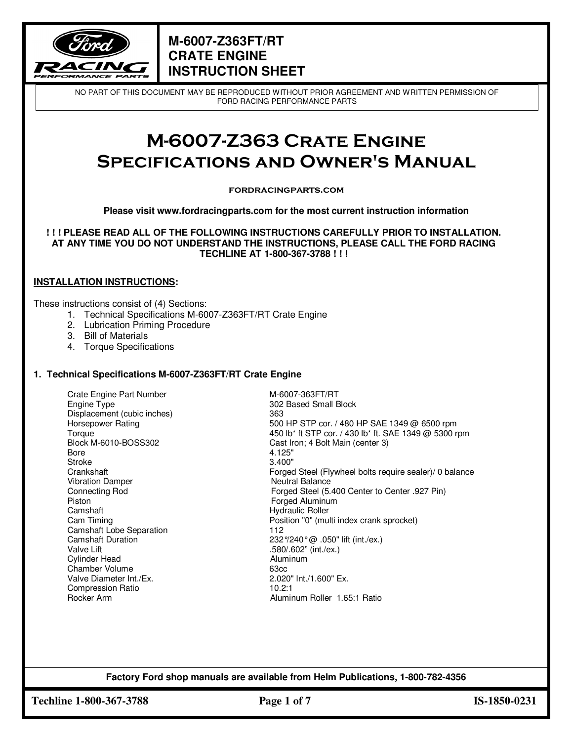

NO PART OF THIS DOCUMENT MAY BE REPRODUCED WITHOUT PRIOR AGREEMENT AND WRITTEN PERMISSION OF FORD RACING PERFORMANCE PARTS

# **M-6007-Z363 Crate Engine Specifications and Owner's Manual**

#### **fordracingparts.com**

**Please visit www.fordracingparts.com for the most current instruction information** 

**! ! ! PLEASE READ ALL OF THE FOLLOWING INSTRUCTIONS CAREFULLY PRIOR TO INSTALLATION. AT ANY TIME YOU DO NOT UNDERSTAND THE INSTRUCTIONS, PLEASE CALL THE FORD RACING TECHLINE AT 1-800-367-3788 ! ! !** 

#### **INSTALLATION INSTRUCTIONS:**

These instructions consist of (4) Sections:

- 1. Technical Specifications M-6007-Z363FT/RT Crate Engine
- 2. Lubrication Priming Procedure
- 3. Bill of Materials
- 4. Torque Specifications

#### **1. Technical Specifications M-6007-Z363FT**/**RT Crate Engine**

Crate Engine Part Number Manuel Crate Engine Type<br>
Engine Type Manuel Crate Small Engine Type Displacement (cubic inches) 363 Bore 4.125" Stroke 3.400" Vibration Damper Neutral Balance Piston **Forged Aluminum** Camshaft **Hydraulic Roller** Camshaft Lobe Separation 112<br>Camshaft Duration 232 Cylinder Head **Aluminum** Chamber Volume 63cc Valve Diameter Int./Ex. Compression Ratio 10.2:1<br>Rocker Arm 10.2:1

302 Based Small Block Horsepower Rating 500 HP STP cor. / 480 HP SAE 1349 @ 6500 rpm Torque 1349 @ 5300 rpm<br>
At About A 450 lb\* ft STP cor. / 430 lb\* ft. SAE 1349 @ 5300 rpm<br>
Cast Iron; 4 Bolt Main (center 3) Block M-6010-BOSS302 Cast Iron; 4 Bolt Main (center 3)<br>Bore 4.125" Crankshaft Forged Steel (Flywheel bolts require sealer)/ 0 balance Connecting Rod Forged Steel (5.400 Center to Center .927 Pin) Cam Timing **Position "0"** (multi index crank sprocket) Camshaft Duration  $232\frac{\textdegree}{240\degree}$   $0.050$ " lift (int./ex.)<br>Valve Lift (int./ex.) .580/.602" (int./ex.) Aluminum Roller 1.65:1 Ratio

**Factory Ford shop manuals are available from Helm Publications, 1-800-782-4356** 

**Techline 1-800-367-3788 Page 1 of 7 IS-1850-0231**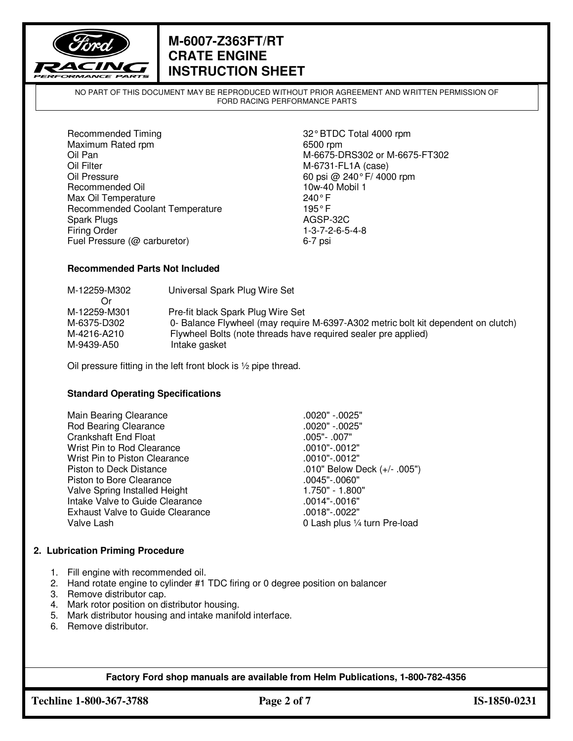

NO PART OF THIS DOCUMENT MAY BE REPRODUCED WITHOUT PRIOR AGREEMENT AND WRITTEN PERMISSION OF FORD RACING PERFORMANCE PARTS

Recommended Timing 32° BTDC Total 4000 rpm Maximum Rated rpm 6500 rpm 6500 rpm<br>
Oil Pan 6675-D Oil Filter M-6731-FL1A (case)<br>Oil Pressure 60 psi @ 240°F/400 Recommended Oil 10w-40 Mobil 1 Max Oil Temperature 240° F<br>Recommended Coolant Temperature 2008 195° F Recommended Coolant Temperature Spark Plugs **AGSP-32C** Firing Order 1-3-7-2-6-5-4-8<br>
Fuel Pressure (@ carburetor) 6-7 psi Fuel Pressure (@ carburetor)

M-6675-DRS302 or M-6675-FT302 60 psi @ 240 $^{\circ}$  F/ 4000 rpm

#### **Recommended Parts Not Included**

| M-12259-M302 | Universal Spark Plug Wire Set                                                     |
|--------------|-----------------------------------------------------------------------------------|
| M-12259-M301 | Pre-fit black Spark Plug Wire Set                                                 |
| M-6375-D302  | 0- Balance Flywheel (may require M-6397-A302 metric bolt kit dependent on clutch) |
| M-4216-A210  | Flywheel Bolts (note threads have required sealer pre applied)                    |
| M-9439-A50   | Intake gasket                                                                     |

Oil pressure fitting in the left front block is ½ pipe thread.

#### **Standard Operating Specifications**

| Main Bearing Clearance                  | .0020" -.0025"                 |
|-----------------------------------------|--------------------------------|
| Rod Bearing Clearance                   | .0020" -.0025"                 |
| <b>Crankshaft End Float</b>             | .005" - .007"                  |
| Wrist Pin to Rod Clearance              | .0010"-.0012"                  |
| Wrist Pin to Piston Clearance           | .0010"-.0012"                  |
| Piston to Deck Distance                 | .010" Below Deck $(+/- .005")$ |
| Piston to Bore Clearance                | .0045"-.0060"                  |
| Valve Spring Installed Height           | 1.750" - 1.800"                |
| Intake Valve to Guide Clearance         | .0014"-.0016"                  |
| <b>Exhaust Valve to Guide Clearance</b> | .0018"-.0022"                  |
| Valve Lash                              | 0 Lash plus 1/4 turn Pre-load  |

#### **2. Lubrication Priming Procedure**

- 1. Fill engine with recommended oil.
- 2. Hand rotate engine to cylinder #1 TDC firing or 0 degree position on balancer
- 3. Remove distributor cap.
- 4. Mark rotor position on distributor housing.
- 5. Mark distributor housing and intake manifold interface.
- 6. Remove distributor.

**Factory Ford shop manuals are available from Helm Publications, 1-800-782-4356** 

**Techline 1-800-367-3788 Page 2 of 7 IS-1850-0231**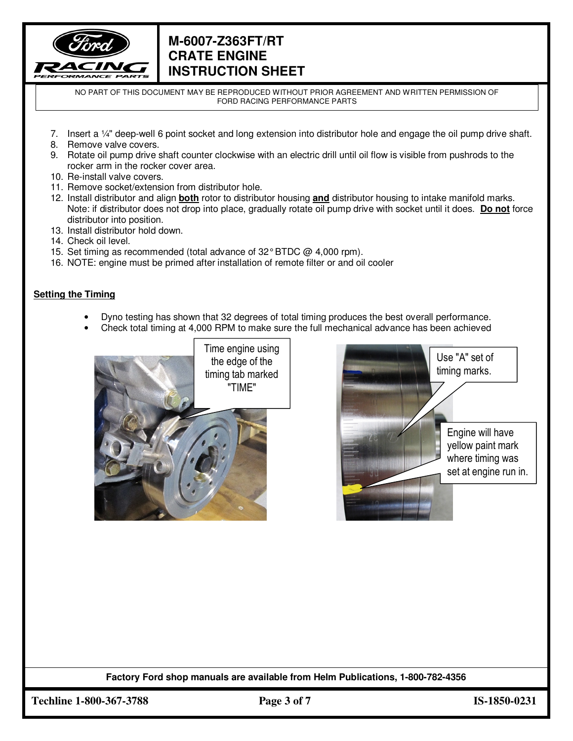

NO PART OF THIS DOCUMENT MAY BE REPRODUCED WITHOUT PRIOR AGREEMENT AND WRITTEN PERMISSION OF FORD RACING PERFORMANCE PARTS

- 7. Insert a ¼" deep-well 6 point socket and long extension into distributor hole and engage the oil pump drive shaft.
- 8. Remove valve covers.
- 9. Rotate oil pump drive shaft counter clockwise with an electric drill until oil flow is visible from pushrods to the rocker arm in the rocker cover area.
- 10. Re-install valve covers.
- 11. Remove socket/extension from distributor hole.
- 12. Install distributor and align **both** rotor to distributor housing **and** distributor housing to intake manifold marks. Note: if distributor does not drop into place, gradually rotate oil pump drive with socket until it does. **Do not** force distributor into position.
- 13. Install distributor hold down.
- 14. Check oil level.
- 15. Set timing as recommended (total advance of 32° BTDC @ 4,000 rpm).
- 16. NOTE: engine must be primed after installation of remote filter or and oil cooler

#### **Setting the Timing**

- Dyno testing has shown that 32 degrees of total timing produces the best overall performance.
- Check total timing at 4,000 RPM to make sure the full mechanical advance has been achieved





**Factory Ford shop manuals are available from Helm Publications, 1-800-782-4356** 

**Techline 1-800-367-3788 Page 3 of 7 IS-1850-0231**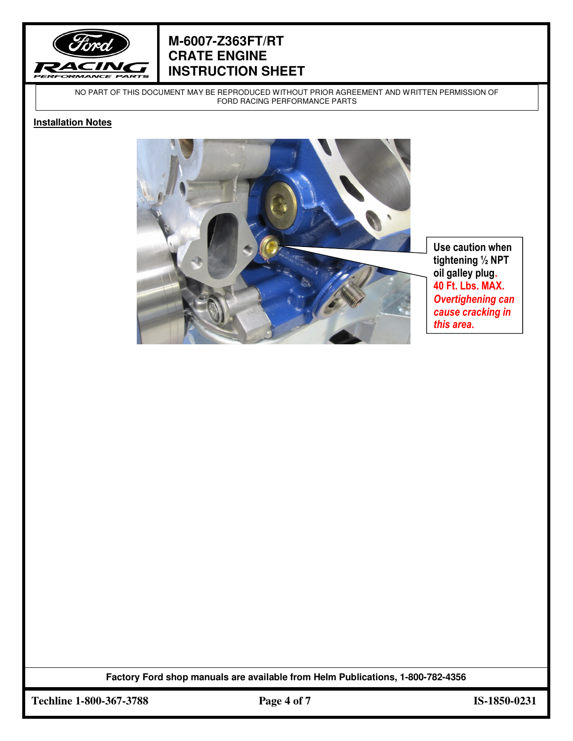

NO PART OF THIS DOCUMENT MAY BE REPRODUCED WITHOUT PRIOR AGREEMENT AND WRITTEN PERMISSION OF FORD RACING PERFORMANCE PARTS

#### **Installation Notes**



**tightening ½ NPT oil galley plug. 40 Ft. Lbs. MAX.**  *Overtighening can cause cracking in* 

**Factory Ford shop manuals are available from Helm Publications, 1-800-782-4356** 

**Techline 1-800-367-3788 Page 4 of 7 IS-1850-0231**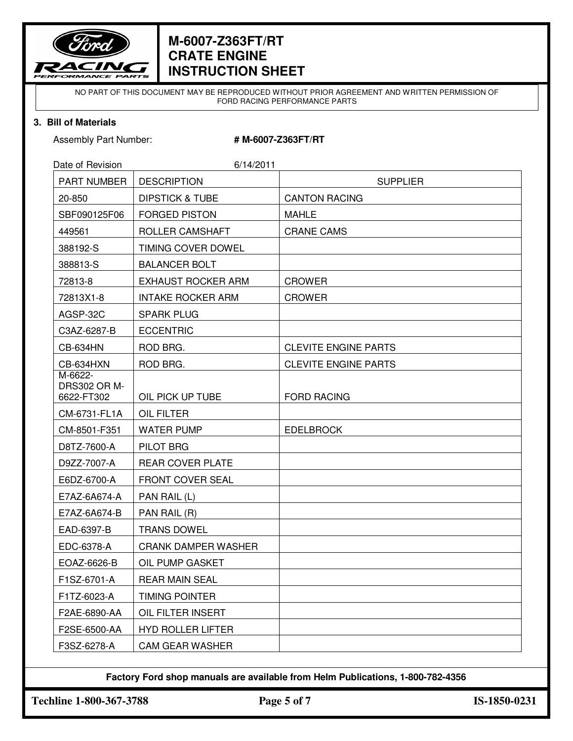

NO PART OF THIS DOCUMENT MAY BE REPRODUCED WITHOUT PRIOR AGREEMENT AND WRITTEN PERMISSION OF FORD RACING PERFORMANCE PARTS

#### **3. Bill of Materials**

Assembly Part Number: **# M-6007-Z363FT/RT** 

| Date of Revision                             | 6/14/2011                  |                             |
|----------------------------------------------|----------------------------|-----------------------------|
| <b>PART NUMBER</b>                           | <b>DESCRIPTION</b>         | <b>SUPPLIER</b>             |
| 20-850                                       | <b>DIPSTICK &amp; TUBE</b> | <b>CANTON RACING</b>        |
| SBF090125F06                                 | <b>FORGED PISTON</b>       | <b>MAHLE</b>                |
| 449561                                       | ROLLER CAMSHAFT            | <b>CRANE CAMS</b>           |
| 388192-S                                     | TIMING COVER DOWEL         |                             |
| 388813-S                                     | <b>BALANCER BOLT</b>       |                             |
| 72813-8                                      | <b>EXHAUST ROCKER ARM</b>  | <b>CROWER</b>               |
| 72813X1-8                                    | <b>INTAKE ROCKER ARM</b>   | <b>CROWER</b>               |
| AGSP-32C                                     | <b>SPARK PLUG</b>          |                             |
| C3AZ-6287-B                                  | <b>ECCENTRIC</b>           |                             |
| <b>CB-634HN</b>                              | ROD BRG.                   | <b>CLEVITE ENGINE PARTS</b> |
| CB-634HXN                                    | ROD BRG.                   | <b>CLEVITE ENGINE PARTS</b> |
| M-6622-<br><b>DRS302 OR M-</b><br>6622-FT302 | OIL PICK UP TUBE           | <b>FORD RACING</b>          |
| CM-6731-FL1A                                 | <b>OIL FILTER</b>          |                             |
| CM-8501-F351                                 | <b>WATER PUMP</b>          | <b>EDELBROCK</b>            |
| D8TZ-7600-A                                  | PILOT BRG                  |                             |
| D9ZZ-7007-A                                  | <b>REAR COVER PLATE</b>    |                             |
| E6DZ-6700-A                                  | FRONT COVER SEAL           |                             |
| E7AZ-6A674-A                                 | PAN RAIL (L)               |                             |
| E7AZ-6A674-B                                 | PAN RAIL (R)               |                             |
| EAD-6397-B                                   | <b>TRANS DOWEL</b>         |                             |
| EDC-6378-A                                   | <b>CRANK DAMPER WASHER</b> |                             |
| EOAZ-6626-B                                  | OIL PUMP GASKET            |                             |
| F1SZ-6701-A                                  | REAR MAIN SEAL             |                             |
| F1TZ-6023-A                                  | <b>TIMING POINTER</b>      |                             |
| F2AE-6890-AA                                 | OIL FILTER INSERT          |                             |
| F2SE-6500-AA                                 | <b>HYD ROLLER LIFTER</b>   |                             |
| F3SZ-6278-A                                  | <b>CAM GEAR WASHER</b>     |                             |

**Factory Ford shop manuals are available from Helm Publications, 1-800-782-4356** 

**Techline 1-800-367-3788 Page 5 of 7 IS-1850-0231**

 $\overline{a}$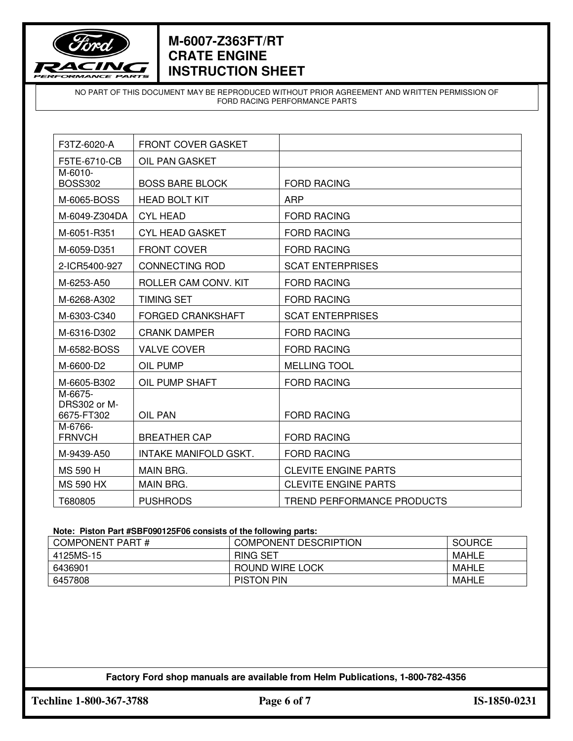

NO PART OF THIS DOCUMENT MAY BE REPRODUCED WITHOUT PRIOR AGREEMENT AND WRITTEN PERMISSION OF FORD RACING PERFORMANCE PARTS

| F3TZ-6020-A                           | <b>FRONT COVER GASKET</b> |                             |
|---------------------------------------|---------------------------|-----------------------------|
| F5TE-6710-CB                          | OIL PAN GASKET            |                             |
| M-6010-<br><b>BOSS302</b>             | <b>BOSS BARE BLOCK</b>    | <b>FORD RACING</b>          |
| M-6065-BOSS                           | <b>HEAD BOLT KIT</b>      | <b>ARP</b>                  |
| M-6049-Z304DA                         | <b>CYL HEAD</b>           | <b>FORD RACING</b>          |
| M-6051-R351                           | <b>CYL HEAD GASKET</b>    | <b>FORD RACING</b>          |
| M-6059-D351                           | <b>FRONT COVER</b>        | <b>FORD RACING</b>          |
| 2-ICR5400-927                         | <b>CONNECTING ROD</b>     | <b>SCAT ENTERPRISES</b>     |
| M-6253-A50                            | ROLLER CAM CONV. KIT      | <b>FORD RACING</b>          |
| M-6268-A302                           | <b>TIMING SET</b>         | <b>FORD RACING</b>          |
| M-6303-C340                           | <b>FORGED CRANKSHAFT</b>  | <b>SCAT ENTERPRISES</b>     |
| M-6316-D302                           | <b>CRANK DAMPER</b>       | <b>FORD RACING</b>          |
| M-6582-BOSS                           | <b>VALVE COVER</b>        | <b>FORD RACING</b>          |
| M-6600-D2                             | OIL PUMP                  | <b>MELLING TOOL</b>         |
| M-6605-B302                           | OIL PUMP SHAFT            | <b>FORD RACING</b>          |
| M-6675-<br>DRS302 or M-<br>6675-FT302 | OIL PAN                   | <b>FORD RACING</b>          |
| M-6766-<br><b>FRNVCH</b>              | <b>BREATHER CAP</b>       | <b>FORD RACING</b>          |
| M-9439-A50                            | INTAKE MANIFOLD GSKT.     | <b>FORD RACING</b>          |
| <b>MS 590 H</b>                       | MAIN BRG.                 | <b>CLEVITE ENGINE PARTS</b> |
| <b>MS 590 HX</b>                      | <b>MAIN BRG.</b>          | <b>CLEVITE ENGINE PARTS</b> |
| T680805                               | <b>PUSHRODS</b>           | TREND PERFORMANCE PRODUCTS  |

#### **Note: Piston Part #SBF090125F06 consists of the following parts:**

| <b>COMPONENT PART#</b> | <b>COMPONENT DESCRIPTION</b> | <b>SOURCE</b> |
|------------------------|------------------------------|---------------|
| 4125MS-15              | <b>RING SET</b>              | MAHLE         |
| 6436901                | ROUND WIRE LOCK              | MAHLE         |
| 6457808                | <b>PISTON PIN</b>            | MAHLE         |

### **Factory Ford shop manuals are available from Helm Publications, 1-800-782-4356**

**Techline 1-800-367-3788 Page 6 of 7 IS-1850-0231**